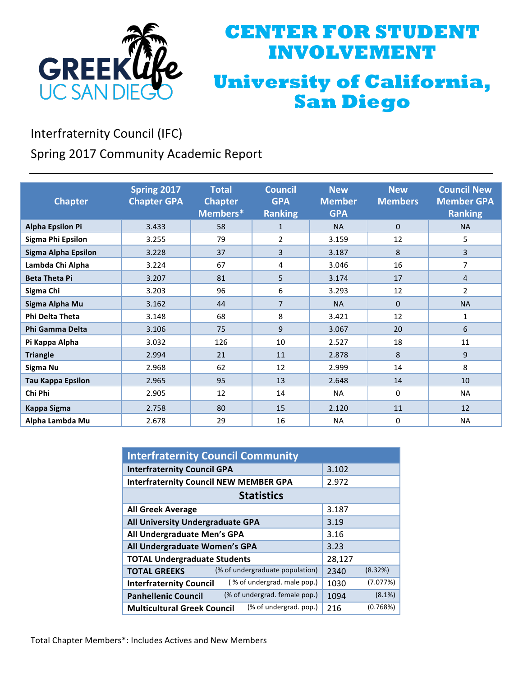

## **CENTER FOR STUDENT INVOLVEMENT University of California, San Diego**

Interfraternity Council (IFC)

Spring 2017 Community Academic Report

| <b>Chapter</b>             | Spring 2017<br><b>Chapter GPA</b> | <b>Total</b><br><b>Chapter</b><br>Members* | Council<br><b>GPA</b><br><b>Ranking</b> | <b>New</b><br><b>Member</b><br><b>GPA</b> | <b>New</b><br><b>Members</b> | <b>Council New</b><br><b>Member GPA</b><br><b>Ranking</b> |
|----------------------------|-----------------------------------|--------------------------------------------|-----------------------------------------|-------------------------------------------|------------------------------|-----------------------------------------------------------|
| <b>Alpha Epsilon Pi</b>    | 3.433                             | 58                                         | $\mathbf{1}$                            | <b>NA</b>                                 | $\Omega$                     | <b>NA</b>                                                 |
| Sigma Phi Epsilon          | 3.255                             | 79                                         | 2                                       | 3.159                                     | 12                           | 5                                                         |
| <b>Sigma Alpha Epsilon</b> | 3.228                             | 37                                         | 3                                       | 3.187                                     | 8                            | $\overline{3}$                                            |
| Lambda Chi Alpha           | 3.224                             | 67                                         | 4                                       | 3.046                                     | 16                           | 7                                                         |
| <b>Beta Theta Pi</b>       | 3.207                             | 81                                         | 5                                       | 3.174                                     | 17                           | $\overline{4}$                                            |
| Sigma Chi                  | 3.203                             | 96                                         | 6                                       | 3.293                                     | 12                           | 2                                                         |
| Sigma Alpha Mu             | 3.162                             | 44                                         | $\overline{7}$                          | <b>NA</b>                                 | $\Omega$                     | <b>NA</b>                                                 |
| <b>Phi Delta Theta</b>     | 3.148                             | 68                                         | 8                                       | 3.421                                     | 12                           | $\mathbf{1}$                                              |
| <b>Phi Gamma Delta</b>     | 3.106                             | 75                                         | 9                                       | 3.067                                     | 20                           | 6                                                         |
| Pi Kappa Alpha             | 3.032                             | 126                                        | 10                                      | 2.527                                     | 18                           | 11                                                        |
| <b>Triangle</b>            | 2.994                             | 21                                         | 11                                      | 2.878                                     | 8                            | 9                                                         |
| Sigma Nu                   | 2.968                             | 62                                         | 12                                      | 2.999                                     | 14                           | 8                                                         |
| <b>Tau Kappa Epsilon</b>   | 2.965                             | 95                                         | 13                                      | 2.648                                     | 14                           | 10                                                        |
| Chi Phi                    | 2.905                             | 12                                         | 14                                      | <b>NA</b>                                 | 0                            | NA                                                        |
| <b>Kappa Sigma</b>         | 2.758                             | 80                                         | 15                                      | 2.120                                     | 11                           | 12                                                        |
| Alpha Lambda Mu            | 2.678                             | 29                                         | 16                                      | <b>NA</b>                                 | 0                            | <b>NA</b>                                                 |

| <b>Interfraternity Council Community</b>                      |        |           |  |  |  |
|---------------------------------------------------------------|--------|-----------|--|--|--|
| <b>Interfraternity Council GPA</b>                            | 3.102  |           |  |  |  |
| <b>Interfraternity Council NEW MEMBER GPA</b>                 | 2.972  |           |  |  |  |
| <b>Statistics</b>                                             |        |           |  |  |  |
| <b>All Greek Average</b>                                      | 3.187  |           |  |  |  |
| All University Undergraduate GPA                              | 3.19   |           |  |  |  |
| All Undergraduate Men's GPA                                   | 3.16   |           |  |  |  |
| All Undergraduate Women's GPA                                 | 3.23   |           |  |  |  |
| <b>TOTAL Undergraduate Students</b>                           | 28,127 |           |  |  |  |
| (% of undergraduate population)<br><b>TOTAL GREEKS</b>        | 2340   | (8.32%)   |  |  |  |
| (% of undergrad. male pop.)<br><b>Interfraternity Council</b> | 1030   | (7.077%)  |  |  |  |
| (% of undergrad. female pop.)<br><b>Panhellenic Council</b>   | 1094   | $(8.1\%)$ |  |  |  |
| (% of undergrad. pop.)<br><b>Multicultural Greek Council</b>  | 216    | (0.768%)  |  |  |  |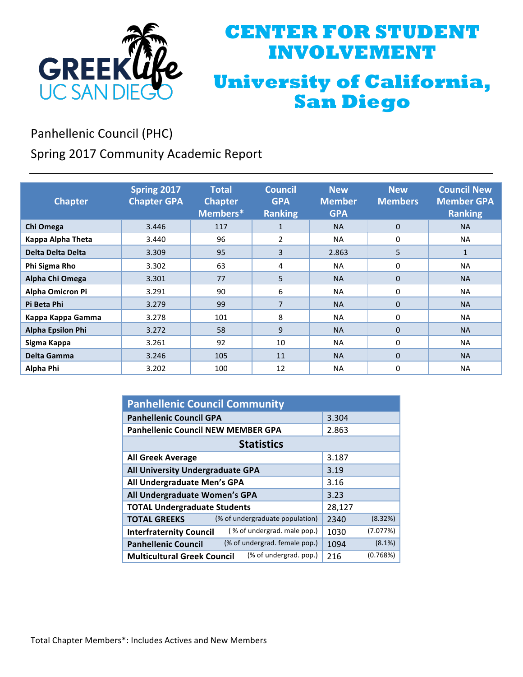

## **CENTER FOR STUDENT INVOLVEMENT University of California, San Diego**

Panhellenic Council (PHC)

Spring 2017 Community Academic Report

| <b>Chapter</b>           | Spring 2017<br><b>Chapter GPA</b> | <b>Total</b><br><b>Chapter</b><br>Members* | <b>Council</b><br><b>GPA</b><br><b>Ranking</b> | <b>New</b><br><b>Member</b><br><b>GPA</b> | <b>New</b><br><b>Members</b> | <b>Council New</b><br><b>Member GPA</b><br><b>Ranking</b> |
|--------------------------|-----------------------------------|--------------------------------------------|------------------------------------------------|-------------------------------------------|------------------------------|-----------------------------------------------------------|
| Chi Omega                | 3.446                             | 117                                        | $\mathbf{1}$                                   | <b>NA</b>                                 | $\Omega$                     | <b>NA</b>                                                 |
| Kappa Alpha Theta        | 3.440                             | 96                                         | 2                                              | <b>NA</b>                                 | 0                            | <b>NA</b>                                                 |
| Delta Delta Delta        | 3.309                             | 95                                         | 3                                              | 2.863                                     | 5                            | $\mathbf{1}$                                              |
| Phi Sigma Rho            | 3.302                             | 63                                         | 4                                              | <b>NA</b>                                 | 0                            | <b>NA</b>                                                 |
| Alpha Chi Omega          | 3.301                             | 77                                         | 5                                              | <b>NA</b>                                 | $\Omega$                     | <b>NA</b>                                                 |
| Alpha Omicron Pi         | 3.291                             | 90                                         | 6                                              | <b>NA</b>                                 | 0                            | <b>NA</b>                                                 |
| Pi Beta Phi              | 3.279                             | 99                                         | $\overline{7}$                                 | <b>NA</b>                                 | $\mathbf 0$                  | <b>NA</b>                                                 |
| Kappa Kappa Gamma        | 3.278                             | 101                                        | 8                                              | <b>NA</b>                                 | 0                            | <b>NA</b>                                                 |
| <b>Alpha Epsilon Phi</b> | 3.272                             | 58                                         | 9                                              | <b>NA</b>                                 | $\mathbf 0$                  | <b>NA</b>                                                 |
| Sigma Kappa              | 3.261                             | 92                                         | 10                                             | <b>NA</b>                                 | 0                            | <b>NA</b>                                                 |
| Delta Gamma              | 3.246                             | 105                                        | 11                                             | <b>NA</b>                                 | $\Omega$                     | <b>NA</b>                                                 |
| Alpha Phi                | 3.202                             | 100                                        | 12                                             | <b>NA</b>                                 | 0                            | <b>NA</b>                                                 |

| <b>Panhellenic Council Community</b>                          |        |           |  |  |  |
|---------------------------------------------------------------|--------|-----------|--|--|--|
| <b>Panhellenic Council GPA</b>                                | 3.304  |           |  |  |  |
| <b>Panhellenic Council NEW MEMBER GPA</b>                     | 2.863  |           |  |  |  |
| <b>Statistics</b>                                             |        |           |  |  |  |
| <b>All Greek Average</b>                                      | 3.187  |           |  |  |  |
| All University Undergraduate GPA                              | 3.19   |           |  |  |  |
| All Undergraduate Men's GPA                                   | 3.16   |           |  |  |  |
| All Undergraduate Women's GPA                                 | 3.23   |           |  |  |  |
| <b>TOTAL Undergraduate Students</b>                           | 28,127 |           |  |  |  |
| (% of undergraduate population)<br><b>TOTAL GREEKS</b>        | 2340   | (8.32%)   |  |  |  |
| (% of undergrad. male pop.)<br><b>Interfraternity Council</b> | 1030   | (7.077%)  |  |  |  |
| (% of undergrad. female pop.)<br><b>Panhellenic Council</b>   | 1094   | $(8.1\%)$ |  |  |  |
| (% of undergrad. pop.)<br><b>Multicultural Greek Council</b>  | 216    | (0.768%)  |  |  |  |